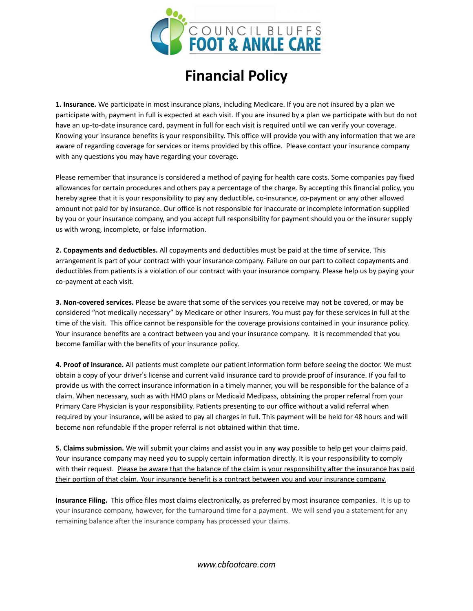

## **Financial Policy**

**1. Insurance.** We participate in most insurance plans, including Medicare. If you are not insured by a plan we participate with, payment in full is expected at each visit. If you are insured by a plan we participate with but do not have an up-to-date insurance card, payment in full for each visit is required until we can verify your coverage. Knowing your insurance benefits is your responsibility. This office will provide you with any information that we are aware of regarding coverage for services or items provided by this office. Please contact your insurance company with any questions you may have regarding your coverage.

Please remember that insurance is considered a method of paying for health care costs. Some companies pay fixed allowances for certain procedures and others pay a percentage of the charge. By accepting this financial policy, you hereby agree that it is your responsibility to pay any deductible, co-insurance, co-payment or any other allowed amount not paid for by insurance. Our office is not responsible for inaccurate or incomplete information supplied by you or your insurance company, and you accept full responsibility for payment should you or the insurer supply us with wrong, incomplete, or false information.

**2. Copayments and deductibles.** All copayments and deductibles must be paid at the time of service. This arrangement is part of your contract with your insurance company. Failure on our part to collect copayments and deductibles from patients is a violation of our contract with your insurance company. Please help us by paying your co-payment at each visit.

**3. Non-covered services.** Please be aware that some of the services you receive may not be covered, or may be considered "not medically necessary" by Medicare or other insurers. You must pay for these services in full at the time of the visit. This office cannot be responsible for the coverage provisions contained in your insurance policy. Your insurance benefits are a contract between you and your insurance company. It is recommended that you become familiar with the benefits of your insurance policy.

**4. Proof of insurance.** All patients must complete our patient information form before seeing the doctor. We must obtain a copy of your driver's license and current valid insurance card to provide proof of insurance. If you fail to provide us with the correct insurance information in a timely manner, you will be responsible for the balance of a claim. When necessary, such as with HMO plans or Medicaid Medipass, obtaining the proper referral from your Primary Care Physician is your responsibility. Patients presenting to our office without a valid referral when required by your insurance, will be asked to pay all charges in full. This payment will be held for 48 hours and will become non refundable if the proper referral is not obtained within that time.

**5. Claims submission.** We will submit your claims and assist you in any way possible to help get your claims paid. Your insurance company may need you to supply certain information directly. It is your responsibility to comply with their request. Please be aware that the balance of the claim is your responsibility after the insurance has paid their portion of that claim. Your insurance benefit is a contract between you and your insurance company.

**Insurance Filing.** This office files most claims electronically, as preferred by most insurance companies. It is up to your insurance company, however, for the turnaround time for a payment. We will send you a statement for any remaining balance after the insurance company has processed your claims.

*www.cbfootcare.com*